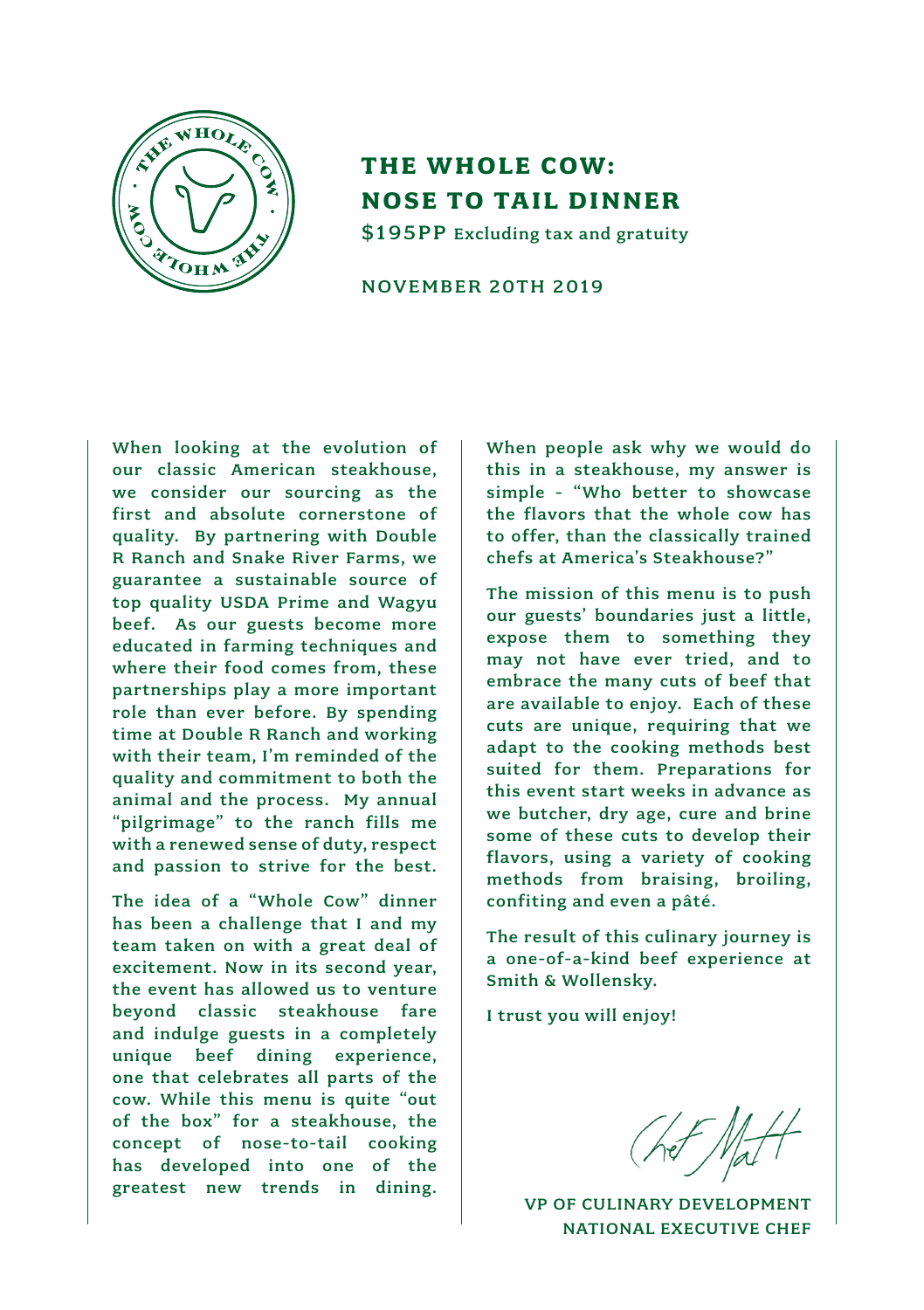

## **THE WHOLE COW: NOSE TO TAIL DINNER** \$195PP Excluding tax and gratuity

NOVEMBER 20TH 2019

When looking at the evolution of our classic American steakhouse, we consider our sourcing as the first and absolute cornerstone of quality. By partnering with Double R Ranch and Snake River Farms, we guarantee a sustainable source of top quality USDA Prime and Wagyu beef. As our guests become more educated in farming techniques and where their food comes from, these partnerships play a more important role than ever before. By spending time at Double R Ranch and working with their team, I'm reminded of the quality and commitment to both the animal and the process. My annual "pilgrimage" to the ranch fills me with a renewed sense of duty, respect and passion to strive for the best.

The idea of a "Whole Cow" dinner has been a challenge that I and my team taken on with a great deal of excitement. Now in its second year, the event has allowed us to venture beyond classic steakhouse fare and indulge guests in a completely unique beef dining experience, one that celebrates all parts of the cow. While this menu is quite "out of the box" for a steakhouse, the concept of nose-to-tail cooking has developed into one of the greatest new trends in dining.

When people ask why we would do this in a steakhouse, my answer is simple - "Who better to showcase the flavors that the whole cow has to offer, than the classically trained chefs at America's Steakhouse?"

The mission of this menu is to push our guests' boundaries just a little, expose them to something they may not have ever tried, and to embrace the many cuts of beef that are available to enjoy. Each of these cuts are unique, requiring that we adapt to the cooking methods best suited for them. Preparations for this event start weeks in advance as we butcher, dry age, cure and brine some of these cuts to develop their flavors, using a variety of cooking methods from braising, broiling, confiting and even a pâté.

The result of this culinary journey is a one-of-a-kind beef experience at Smith & Wollensky.

I trust you will enjoy!

VP OF CULINARY DEVELOPMENT NATIONAL EXECUTIVE CHEF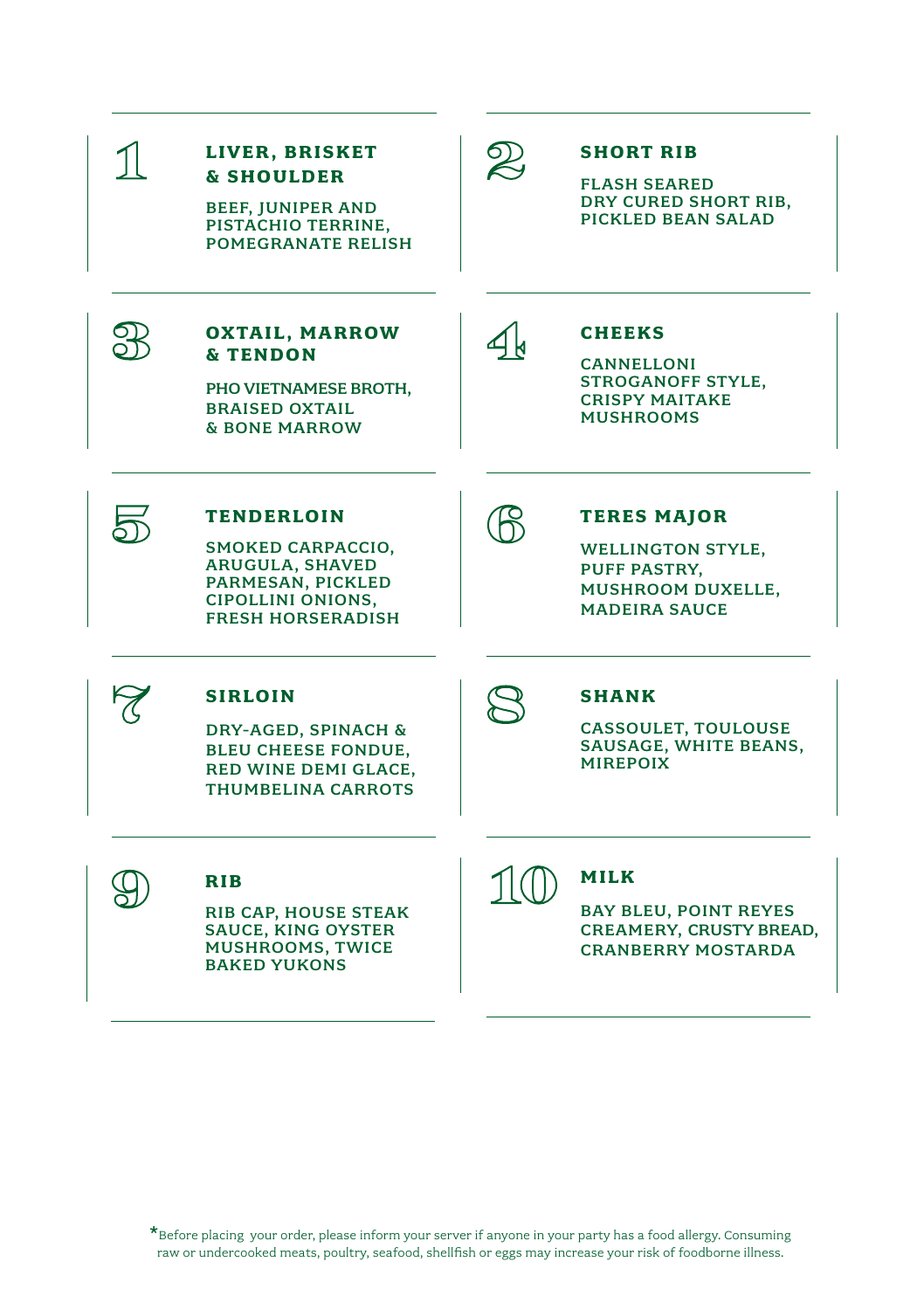